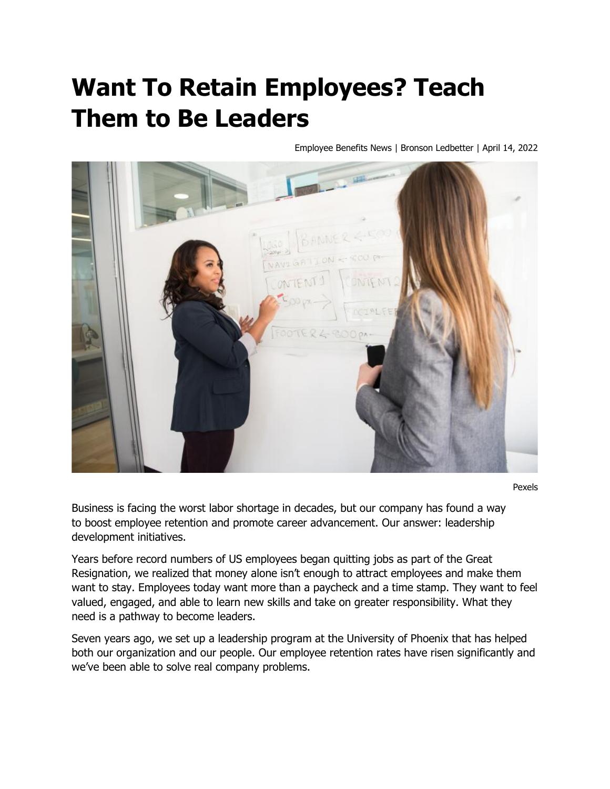## **Want To Retain Employees? Teach Them to Be Leaders**

Employee Benefits News | Bronson Ledbetter | April 14, 2022



Pexels

Business is facing the worst labor shortage in decades, but our company has found a way to boost employee retention and promote career advancement. Our answer: leadership development initiatives.

Years before record numbers of US employees began quitting jobs as part of the Great Resignation, we realized that money alone isn't enough to attract employees and make them want to stay. Employees today want more than a paycheck and a time stamp. They want to feel valued, engaged, and able to learn new skills and take on greater responsibility. What they need is a pathway to become leaders.

Seven years ago, we set up a leadership program at the University of Phoenix that has helped both our organization and our people. Our employee retention rates have risen significantly and we've been able to solve real company problems.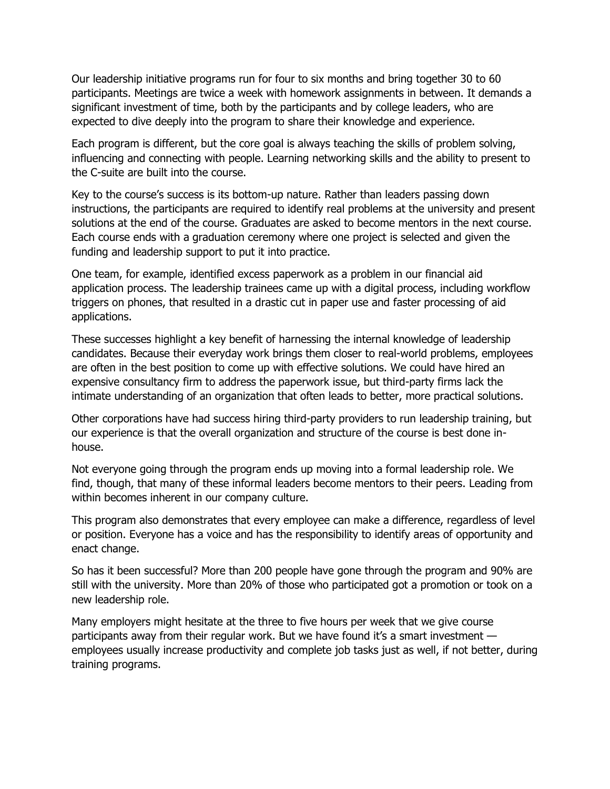Our leadership initiative programs run for four to six months and bring together 30 to 60 participants. Meetings are twice a week with homework assignments in between. It demands a significant investment of time, both by the participants and by college leaders, who are expected to dive deeply into the program to share their knowledge and experience.

Each program is different, but the core goal is always teaching the skills of problem solving, influencing and connecting with people. Learning networking skills and the ability to present to the C-suite are built into the course.

Key to the course's success is its bottom-up nature. Rather than leaders passing down instructions, the participants are required to identify real problems at the university and present solutions at the end of the course. Graduates are asked to become mentors in the next course. Each course ends with a graduation ceremony where one project is selected and given the funding and leadership support to put it into practice.

One team, for example, identified excess paperwork as a problem in our financial aid application process. The leadership trainees came up with a digital process, including workflow triggers on phones, that resulted in a drastic cut in paper use and faster processing of aid applications.

These successes highlight a key benefit of harnessing the internal knowledge of leadership candidates. Because their everyday work brings them closer to real-world problems, employees are often in the best position to come up with effective solutions. We could have hired an expensive consultancy firm to address the paperwork issue, but third-party firms lack the intimate understanding of an organization that often leads to better, more practical solutions.

Other corporations have had success hiring third-party providers to run leadership training, but our experience is that the overall organization and structure of the course is best done inhouse.

Not everyone going through the program ends up moving into a formal leadership role. We find, though, that many of these informal leaders become mentors to their peers. Leading from within becomes inherent in our company culture.

This program also demonstrates that every employee can make a difference, regardless of level or position. Everyone has a voice and has the responsibility to identify areas of opportunity and enact change.

So has it been successful? More than 200 people have gone through the program and 90% are still with the university. More than 20% of those who participated got a promotion or took on a new leadership role.

Many employers might hesitate at the three to five hours per week that we give course participants away from their regular work. But we have found it's a smart investment employees usually increase productivity and complete job tasks just as well, if not better, during training programs.